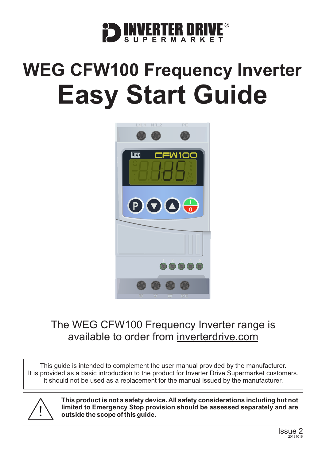

# **WEG CFW100 Frequency Inverter Easy Start Guide**



### The WEG CFW100 Frequency Inverter range is available to order from [inverterdrive.com](https://inverterdrive.com/m/WEG/CFW100/)

This guide is intended to complement the user manual provided by the manufacturer. It is provided as a basic introduction to the product for Inverter Drive Supermarket customers. It should not be used as a replacement for the manual issued by the manufacturer.



**This product is not a safety device. All safety considerations including but not limited to Emergency Stop provision should be assessed separately and are outside the scope of this guide.**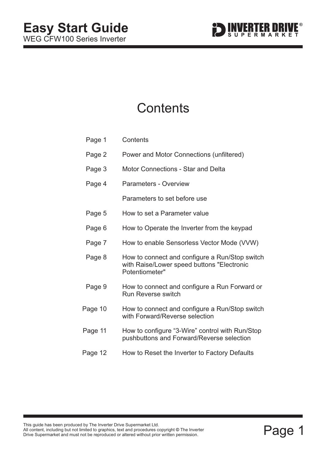

### **Contents**

| Page 1  | Contents                                                                                                       |
|---------|----------------------------------------------------------------------------------------------------------------|
| Page 2  | Power and Motor Connections (unfiltered)                                                                       |
| Page 3  | <b>Motor Connections - Star and Delta</b>                                                                      |
| Page 4  | <b>Parameters - Overview</b>                                                                                   |
|         | Parameters to set before use                                                                                   |
| Page 5  | How to set a Parameter value                                                                                   |
| Page 6  | How to Operate the Inverter from the keypad                                                                    |
| Page 7  | How to enable Sensorless Vector Mode (VVW)                                                                     |
| Page 8  | How to connect and configure a Run/Stop switch<br>with Raise/Lower speed buttons "Electronic<br>Potentiometer" |
| Page 9  | How to connect and configure a Run Forward or<br><b>Run Reverse switch</b>                                     |
| Page 10 | How to connect and configure a Run/Stop switch<br>with Forward/Reverse selection                               |
| Page 11 | How to configure "3-Wire" control with Run/Stop<br>pushbuttons and Forward/Reverse selection                   |
| Page 12 | How to Reset the Inverter to Factory Defaults                                                                  |

This guide rias been produced by the lifverter Drive Supermarket Etd.<br>All content, including but not limited to graphics, text and procedures copyright © The Inverter<br>Drive Supermarket and must not be reproduced or altered **©**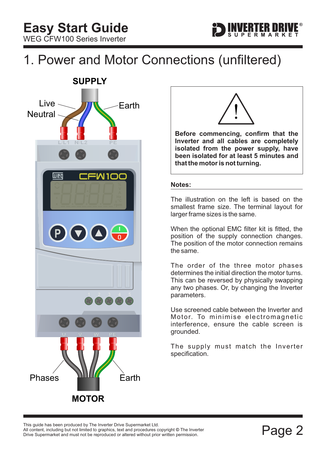# <span id="page-2-0"></span>1. Power and Motor Connections (unfiltered)





**Before commencing, confirm that the Inverter and all cables are completely isolated from the power supply, have been isolated for at least 5 minutes and that the motor is not turning.**

#### **Notes:**

The illustration on the left is based on the smallest frame size. The terminal layout for larger frame sizes is the same.

When the optional EMC filter kit is fitted, the position of the supply connection changes. The position of the motor connection remains the same.

The order of the three motor phases determines the initial direction the motor turns. This can be reversed by physically swapping any two phases. Or, by changing the Inverter parameters.

Use screened cable between the Inverter and Motor. To minimise electromagnetic interference, ensure the cable screen is grounded.

The supply must match the Inverter specification.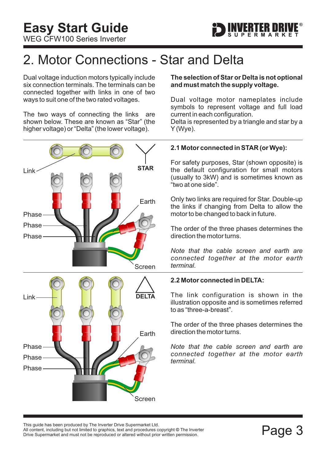

# <span id="page-3-0"></span>2. Motor Connections - Star and Delta

Dual voltage induction motors typically include six connection terminals. The terminals can be connected together with links in one of two ways to suit one of the two rated voltages.

The two ways of connecting the links are shown below. These are known as "Star" (the higher voltage) or "Delta" (the lower voltage).



#### **The selection of Star or Delta is not optional and must match the supply voltage.**

Dual voltage motor nameplates include symbols to represent voltage and full load current in each configuration.

Delta is represented by a triangle and star by a Y (Wye).

#### **2.1 Motor connected in STAR (or Wye):**

For safety purposes, Star (shown opposite) is the default configuration for small motors (usually to 3kW) and is sometimes known as "two at one side".

Only two links are required for Star. Double-up the links if changing from Delta to allow the motor to be changed to back in future.

The order of the three phases determines the direction the motor turns.

*Note that the cable screen and earth are connected together at the motor earth terminal.*

#### **2.2 Motor connected in DELTA:**

The link configuration is shown in the illustration opposite and is sometimes referred to as "three-a-breast".

The order of the three phases determines the direction the motor turns.

*Note that the cable screen and earth are connected together at the motor earth terminal.*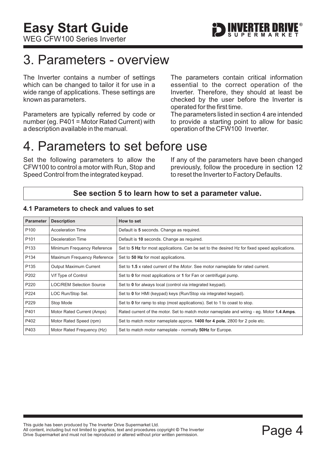## <span id="page-4-0"></span>3. Parameters - overview

The Inverter contains a number of settings which can be changed to tailor it for use in a wide range of applications. These settings are known as parameters.

Parameters are typically referred by code or number (eg. P401 = Motor Rated Current) with a description available in the manual.

The parameters contain critical information essential to the correct operation of the Inverter. Therefore, they should at least be checked by the user before the Inverter is operated for the first time.

The parameters listed in section 4 are intended to provide a starting point to allow for basic operation of the CFW100 Inverter.

### 4. Parameters to set before use

Set the following parameters to allow the CFW100 to control a motor with Run, Stop and Speed Control from the integrated keypad.

If any of the parameters have been changed previously, follow the procedure in [section 12](#page-12-0) to reset the Inverter to Factory Defaults.

#### **See [section 5](#page-5-0) to learn how to set a parameter value.**

#### **Parameter** Description **How to set** P100 | Acceleration Time | Default is 5 seconds. Change as required. P101 | Deceleration Time | Default is 10 seconds. Change as required. P133 Minimum Frequency Reference Set to 5 Hz for most applications. Can be set to the desired Hz for fixed speed applications. P134 Maximum Frequency Reference Set to 50 Hz for most applications. P135 Output Maximum Current Set to 1.5 x rated current of the Motor. See motor nameplate for rated current. P202 V/f Type of Control Set to **0** for most applications or **1** for Fan or centrifugal pump. P220 **LOC/REM Selection Source** Set to **0** for always local (control via integrated keypad). P224 LOC Run/Stop Sel. Set to 0 for HMI (keypad) keys (Run/Stop via integrated keypad). P229 Stop Mode Set to **0** for ramp to stop (most applications). Set to 1 to coast to stop.

P402 Motor Rated Speed (rpm) Set to match motor nameplate approx. **1400 for 4 pole**, 2800 for 2 pole etc.

P403 Motor Rated Frequency (Hz) Set to match motor nameplate - normally **50Hz** for Europe.

P401 Motor Rated Current (Amps) Rated current of the motor. Set to match motor nameplate and wiring - eg. Motor 1.4 Amps.

#### **4.1 Parameters to check and values to set**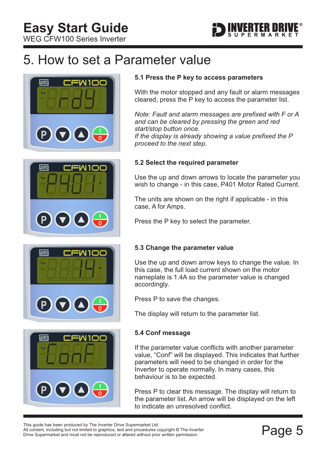<span id="page-5-0"></span>WEG CFW100 Series Inverter



## 5. How to set a Parameter value









#### **5.1 Press the P key to access parameters**

With the motor stopped and any fault or alarm messages cleared, press the P key to access the parameter list.

*If the display is already showing a value prefixed the P Note: Fault and alarm messages are prefixed with F or A and can be cleared by pressing the green and red start/stop button once.*

*proceed to the next step.*

#### **5.2 Select the required parameter**

Use the up and down arrows to locate the parameter you wish to change - in this case, P401 Motor Rated Current.

The units are shown on the right if applicable - in this case, A for Amps.

Press the P key to select the parameter.

#### **5.3 Change the parameter value**

Use the up and down arrow keys to change the value. In this case, the full load current shown on the motor nameplate is 1.4A so the parameter value is changed accordingly.

Press P to save the changes.

The display will return to the parameter list.

#### **5.4 Conf message**

If the parameter value conflicts with another parameter value, "Conf" will be displayed. This indicates that further parameters will need to be changed in order for the Inverter to operate normally. In many cases, this behaviour is to be expected.

Press P to clear this message. The display will return to the parameter list. An arrow will be displayed on the left to indicate an unresolved conflict.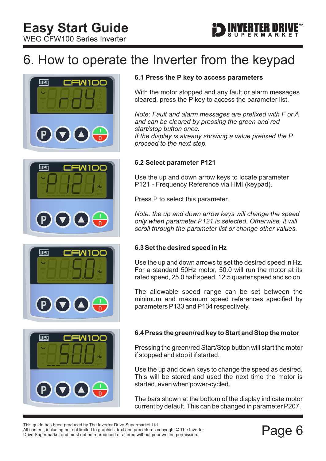<span id="page-6-0"></span>WEG CFW100 Series Inverter

# 6. How to operate the Inverter from the keypad









#### **6.1 Press the P key to access parameters**

With the motor stopped and any fault or alarm messages cleared, press the P key to access the parameter list.

ERTER DRIV

*Note: Fault and alarm messages are prefixed with F or A and can be cleared by pressing the green and red start/stop button once. If the display is already showing a value prefixed the P proceed to the next step.*

#### **6.2 Select parameter P121**

Use the up and down arrow keys to locate parameter P121 - Frequency Reference via HMI (keypad).

Press P to select this parameter.

*Note: the up and down arrow keys will change the speed only when parameter P121 is selected. Otherwise, it will scroll through the parameter list or change other values.*

#### **6.3 Set the desired speed in Hz**

Use the up and down arrows to set the desired speed in Hz. For a standard 50Hz motor, 50.0 will run the motor at its rated speed, 25.0 half speed, 12.5 quarter speed and so on.

The allowable speed range can be set between the minimum and maximum speed references specified by parameters P133 and P134 respectively.

#### **6.4 Press the green/red key to Start and Stop the motor**

Pressing the green/red Start/Stop button will start the motor if stopped and stop it if started.

Use the up and down keys to change the speed as desired. This will be stored and used the next time the motor is started, even when power-cycled.

The bars shown at the bottom of the display indicate motor current by default. This can be changed in parameter P207.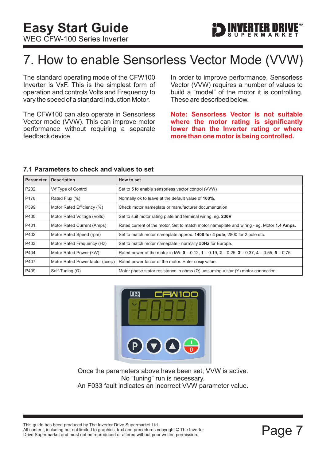

# <span id="page-7-0"></span>7. How to enable Sensorless Vector Mode (VVW)

The standard operating mode of the CFW100 Inverter is VxF. This is the simplest form of operation and controls Volts and Frequency to vary the speed of a standard Induction Motor.

The CFW100 can also operate in Sensorless Vector mode (VVW). This can improve motor performance without requiring a separate feedback device.

In order to improve performance, Sensorless Vector (VVW) requires a number of values to build a "model" of the motor it is controlling. These are described below.

**Note: Sensorless Vector is not suitable where the motor rating is significantly lower than the Inverter rating or where more than one motor is being controlled.**

#### **7.1 Parameters to check and values to set**

| <b>Parameter</b> | <b>Description</b>              | How to set                                                                                                  |
|------------------|---------------------------------|-------------------------------------------------------------------------------------------------------------|
| P <sub>202</sub> | V/f Type of Control             | Set to 5 to enable sensorless vector control (VVW)                                                          |
| P178             | Rated Flux (%)                  | Normally ok to leave at the default value of 100%.                                                          |
| P399             | Motor Rated Efficiency (%)      | Check motor nameplate or manufacturer documentation                                                         |
| P400             | Motor Rated Voltage (Volts)     | Set to suit motor rating plate and terminal wiring. eg. 230V                                                |
| P401             | Motor Rated Current (Amps)      | Rated current of the motor. Set to match motor nameplate and wiring - eq. Motor 1.4 Amps.                   |
| P402             | Motor Rated Speed (rpm)         | Set to match motor nameplate approx. 1400 for 4 pole, 2800 for 2 pole etc.                                  |
| P403             | Motor Rated Frequency (Hz)      | Set to match motor nameplate - normally 50Hz for Europe.                                                    |
| P404             | Motor Rated Power (kW)          | Rated power of the motor in kW: $0 = 0.12$ , $1 = 0.19$ , $2 = 0.25$ , $3 = 0.37$ , $4 = 0.55$ , $5 = 0.75$ |
| P407             | Motor Rated Power factor (coso) | Rated power factor of the motor. Enter coso value.                                                          |
| P409             | Self-Tuning $(\Omega)$          | Motor phase stator resistance in ohms $(\Omega)$ , assuming a star $(Y)$ motor connection.                  |



Once the parameters above have been set, VVW is active. No "tuning" run is necessary. An F033 fault indicates an incorrect VVW parameter value.

This guide has been produced by The Inverter Drive Supermarket Ltd.<br>All content, including but not limited to graphics, text and procedures copyright © The Inverter<br>Drive Supermarket and must not be reproduced or altered w All content, including but not limited to graphics, text and procedures copyright © The Inverter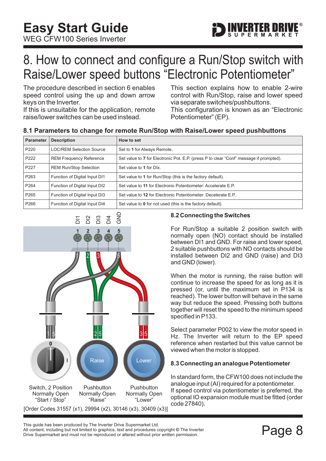

### <span id="page-8-0"></span>8. How to connect and configure a Run/Stop switch with Raise/Lower speed buttons "Electronic Potentiometer"

The procedure described in [section 6](#page-6-0) enables speed control using the up and down arrow keys on the Inverter.

If this is unsuitable for the application, remote raise/lower switches can be used instead.

This section explains how to enable 2-wire control with Run/Stop, raise and lower speed via separate switches/pushbuttons.

This configuration is known as an "Electronic Potentiometer" (EP).

#### **8.1 Parameters to change for remote Run/Stop with Raise/Lower speed pushbuttons**

| <b>Parameter</b> | <b>Description</b>              | How to set                                                                             |
|------------------|---------------------------------|----------------------------------------------------------------------------------------|
| P <sub>220</sub> | <b>LOC/REM Selection Source</b> | Set to 1 for Always Remote.                                                            |
| P <sub>222</sub> | <b>REM Frequency Reference</b>  | Set value to 7 for Electronic Pot. E.P. (press P to clear "Conf" message if prompted). |
| P <sub>227</sub> | <b>REM Run/Stop Selection</b>   | Set value to 1 for DIx.                                                                |
| P <sub>263</sub> | Function of Digital Input DI1   | Set value to 1 for Run/Stop (this is the factory default).                             |
| P264             | Function of Digital Input DI2   | Set value to 11 for Electronic Potentiometer: Accelerate E.P.                          |
| P <sub>265</sub> | Function of Digital Input DI3   | Set value to 12 for Electronic Potentiometer: Decelerate E.P.                          |
| P <sub>266</sub> | Function of Digital Input DI4   | Set value to 0 for not used (this is the factory default).                             |



#### **8.2 Connecting the Switches**

For Run/Stop a suitable 2 position switch with normally open (NO) contact should be installed between DI1 and GND. For raise and lower speed, 2 suitable pushbuttons with NO contacts should be installed between DI2 and GND (raise) and DI3 and GND (lower).

When the motor is running, the raise button will continue to increase the speed for as long as it is pressed (or, until the maximum set in P134 is reached). The lower button will behave in the same way but reduce the speed. Pressing both buttons together will reset the speed to the minimum speed specified in P133.

Select parameter P002 to view the motor speed in Hz. The Inverter will return to the EP speed reference when restarted but this value cannot be viewed when the motor is stopped.

#### **8.3 Connecting an analogue Potentiometer**

In standard form, the CFW100 does not include the analogue input (AI) required for a potentiometer. If speed control via potentiometer is preferred, the optional IO expansion module must be fitted (order code 27840).

This guide has been produced by The Inverter Drive Supermarket Ltd.<br>All content, including but not limited to graphics, text and procedures copyright © The Inverter<br>Drive Supermarket and must not be reproduced or altered w All content, including but not limited to graphics, text and procedures copyright © The Inverter Drive Supermarket and must not be reproduced or altered without prior written permission.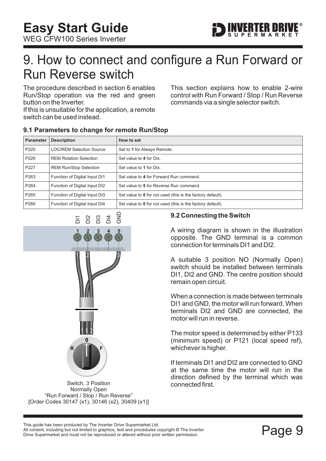<span id="page-9-0"></span>WEG CFW100 Series Inverter



### 9. How to connect and configure a Run Forward or Run Reverse switch

The procedure described in [section 6](#page-6-0) enables Run/Stop operation via the red and green button on the Inverter.

If this is unsuitable for the application, a remote switch can be used instead.

This section explains how to enable 2-wire control with Run Forward / Stop / Run Reverse commands via a single selector switch.

| Parameter        | <b>Description</b>              | How to set                                                 |  |
|------------------|---------------------------------|------------------------------------------------------------|--|
| P <sub>220</sub> | <b>LOC/REM Selection Source</b> | Set to 1 for Always Remote.                                |  |
| P226             | <b>REM Rotation Selection</b>   | Set value to 4 for DIx.                                    |  |
| P227             | <b>REM Run/Stop Selection</b>   | Set value to 1 for DIx.                                    |  |
| P <sub>263</sub> | Function of Digital Input DI1   | Set value to 4 for Forward Run command.                    |  |
| P <sub>264</sub> | Function of Digital Input DI2   | Set value to 5 for Reverse Run command.                    |  |
| P <sub>265</sub> | Function of Digital Input DI3   | Set value to 0 for not used (this is the factory default). |  |
| P <sub>266</sub> | Function of Digital Input DI4   | Set value to 0 for not used (this is the factory default). |  |

#### **9.1 Parameters to change for remote Run/Stop**



Switch, 3 Position Normally Open "Run Forward / Stop / Run Reverse" [Order Codes 30147 (x1), 30146 (x2), 30409 (x1)]

#### **9.2 Connecting the Switch**

A wiring diagram is shown in the illustration opposite. The GND terminal is a common connection for terminals DI1 and DI2.

A suitable 3 position NO (Normally Open) switch should be installed between terminals DI1, DI2 and GND. The centre position should remain open circuit.

When a connection is made between terminals DI1 and GND, the motor will run forward. When terminals DI2 and GND are connected, the motor will run in reverse.

The motor speed is determined by either P133 (minimum speed) or P121 (local speed ref), whichever is higher.

If terminals DI1 and DI2 are connected to GND at the same time the motor will run in the direction defined by the terminal which was connected first.

Filis guide rias been produced by The Inverter Drive Supermarket Etd.<br>All content, including but not limited to graphics, text and procedures copyright © The Inverter<br>Drive Supermarket and must not be reproduced or altered All content, including but not limited to graphics, text and procedures copyright © The Inverter This guide has been produced by The Inverter Drive Supermarket Ltd.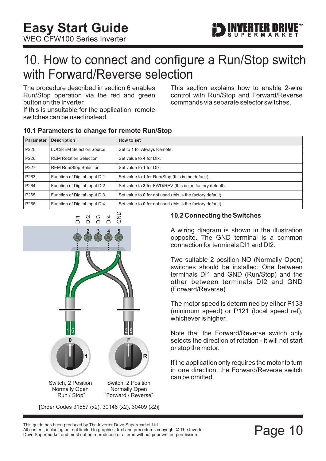

### <span id="page-10-0"></span>10. How to connect and configure a Run/Stop switch with Forward/Reverse selection

The procedure described in [section 6](#page-6-0) enables Run/Stop operation via the red and green button on the Inverter.

If this is unsuitable for the application, remote switches can be used instead.

**10.1 Parameters to change for remote Run/Stop**

This section explains how to enable 2-wire control with Run/Stop and Forward/Reverse commands via separate selector switches.

| <b>Parameter</b> | <b>Description</b>              | How to set                                                 |
|------------------|---------------------------------|------------------------------------------------------------|
| P <sub>220</sub> | <b>LOC/REM Selection Source</b> | Set to 1 for Always Remote.                                |
| P226             | <b>REM Rotation Selection</b>   | Set value to 4 for Dlx.                                    |
| P227             | <b>REM Run/Stop Selection</b>   | Set value to 1 for DIx.                                    |
| P263             | Function of Digital Input DI1   | Set value to 1 for Run/Stop (this is the default).         |
| P <sub>264</sub> | Function of Digital Input DI2   | Set value to 8 for FWD/REV (this is the factory default).  |
| P <sub>265</sub> | Function of Digital Input DI3   | Set value to 0 for not used (this is the factory default). |
| P <sub>266</sub> | Function of Digital Input DI4   | Set value to 0 for not used (this is the factory default). |



#### **10.2 Connecting the Switches**

A wiring diagram is shown in the illustration opposite. The GND terminal is a common connection for terminals DI1 and DI2.

Two suitable 2 position NO (Normally Open) switches should be installed: One between terminals DI1 and GND (Run/Stop) and the other between terminals DI2 and GND (Forward/Reverse).

The motor speed is determined by either P133 (minimum speed) or P121 (local speed ref), whichever is higher.

Note that the Forward/Reverse switch only selects the direction of rotation - it will not start or stop the motor.

If the application only requires the motor to turn in one direction, the Forward/Reverse switch can be omitted.

This guide has been produced by The Inverter Drive Supermarket Ltd.<br>All content, including but not limited to graphics, text and procedures copyright © The Inverter<br>Drive Supermarket and must not be reproduced or altered w All content, including but not limited to graphics, text and procedures copyright © The Inverter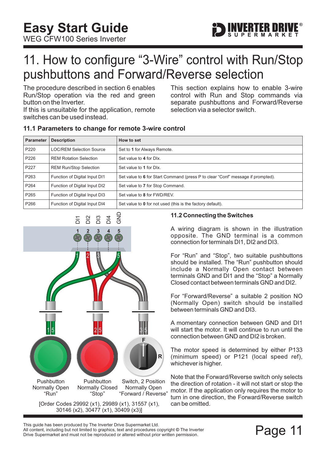<span id="page-11-0"></span>WEG CFW100 Series Inverter



### 11. How to configure "3-Wire" control with Run/Stop pushbuttons and Forward/Reverse selection

The procedure described in [section 6](#page-6-0) enables Run/Stop operation via the red and green button on the Inverter.

If this is unsuitable for the application, remote switches can be used instead.

This section explains how to enable 3-wire control with Run and Stop commands via separate pushbuttons and Forward/Reverse selection via a selector switch.

#### **11.1 Parameters to change for remote 3-wire control**

| <b>Parameter</b> | <b>Description</b>              | How to set                                                                      |
|------------------|---------------------------------|---------------------------------------------------------------------------------|
| P220             | <b>LOC/REM Selection Source</b> | Set to 1 for Always Remote.                                                     |
| P226             | <b>REM Rotation Selection</b>   | Set value to 4 for DIx.                                                         |
| P227             | <b>REM Run/Stop Selection</b>   | Set value to 1 for DIx.                                                         |
| P263             | Function of Digital Input DI1   | Set value to 6 for Start Command (press P to clear "Conf" message if prompted). |
| P <sub>264</sub> | Function of Digital Input DI2   | Set value to 7 for Stop Command.                                                |
| P <sub>265</sub> | Function of Digital Input DI3   | Set value to 8 for FWD/REV.                                                     |
| P266             | Function of Digital Input DI4   | Set value to 0 for not used (this is the factory default).                      |



**11.2 Connecting the Switches**

A wiring diagram is shown in the illustration opposite. The GND terminal is a common connection for terminals DI1, DI2 and DI3.

For "Run" and "Stop", two suitable pushbuttons should be installed. The "Run" pushbutton should include a Normally Open contact between terminals GND and DI1 and the "Stop" a Normally Closed contact between terminals GND and DI2.

For "Forward/Reverse" a suitable 2 position NO (Normally Open) switch should be installed between terminals GND and DI3.

A momentary connection between GND and DI1 will start the motor. It will continue to run until the connection between GND and DI2 is broken.

The motor speed is determined by either P133 (minimum speed) or P121 (local speed ref), whichever is higher.

Note that the Forward/Reverse switch only selects the direction of rotation - it will not start or stop the motor. If the application only requires the motor to turn in one direction, the Forward/Reverse switch can be omitted.

This guide has been produced by The Inverter Drive Supermarket Ltd.<br>All content, including but not limited to graphics, text and procedures copyright © The Inverter<br>Drive Supermarket and must not be reproduced or altered w All content, including but not limited to graphics, text and procedures copyright © The Inverter Drive Supermarket and must not be reproduced or altered without prior written permission.